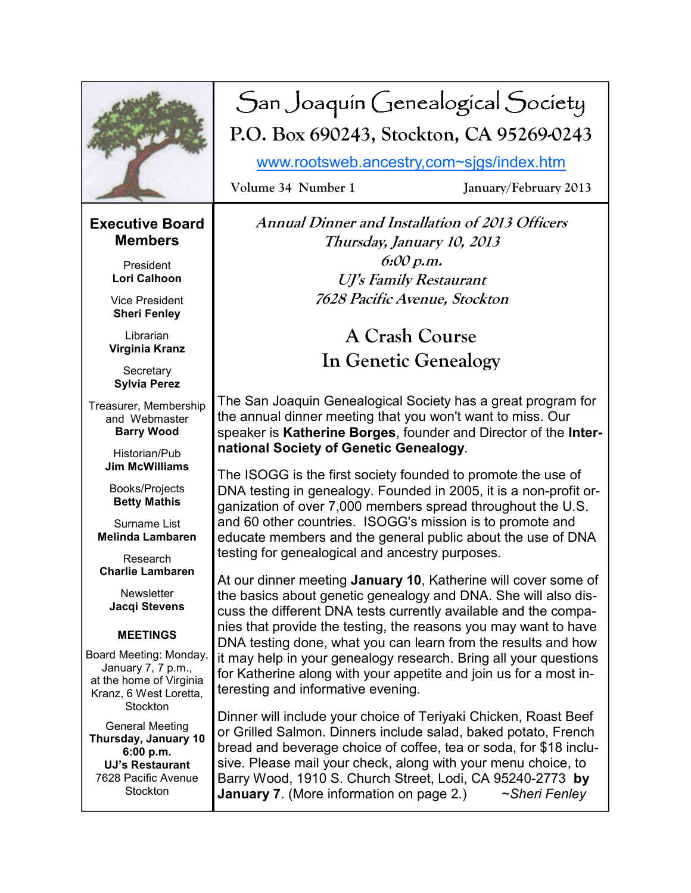

# San Joaquin Genealogical Society **P.O. Box 690243, Stockton, CA 95269-0243**

www.rootsweb.ancestry,com~sjgs/index.htm

**Volume 34 Number 1 January/February 2013** 

### **Executive Board Members**

President **Lori Calhoon** 

Vice President **Sheri Fenley** 

**Librarian Virginia Kranz** 

**Secretary Sylvia Perez** 

Treasurer, Membership and Webmaster **Barry Wood** 

> Historian/Pub **Jim McWilliams**

Books/Projects **Betty Mathis** 

Surname List **Melinda Lambaren** 

Research **Charlie Lambaren** 

**Newsletter Jacqi Stevens** 

#### **MEETINGS**

Board Meeting: Monday, January 7, 7 p.m., at the home of Virginia Kranz, 6 West Loretta, **Stockton** 

General Meeting **Thursday, January 10 6:00 p.m. UJ's Restaurant**  7628 Pacific Avenue **Stockton** 

**Annual Dinner and Installation of 2013 Officers Thursday, January 10, 2013 6:00 p.m. UJ's Family Restaurant 7628 Pacific Avenue, Stockton** 

> **A Crash Course In Genetic Genealogy**

The San Joaquin Genealogical Society has a great program for the annual dinner meeting that you won't want to miss. Our speaker is **Katherine Borges**, founder and Director of the **International Society of Genetic Genealogy**.

The ISOGG is the first society founded to promote the use of DNA testing in genealogy. Founded in 2005, it is a non-profit organization of over 7,000 members spread throughout the U.S. and 60 other countries. ISOGG's mission is to promote and educate members and the general public about the use of DNA testing for genealogical and ancestry purposes.

At our dinner meeting **January 10**, Katherine will cover some of the basics about genetic genealogy and DNA. She will also discuss the different DNA tests currently available and the companies that provide the testing, the reasons you may want to have DNA testing done, what you can learn from the results and how it may help in your genealogy research. Bring all your questions for Katherine along with your appetite and join us for a most interesting and informative evening.

Dinner will include your choice of Teriyaki Chicken, Roast Beef or Grilled Salmon. Dinners include salad, baked potato, French bread and beverage choice of coffee, tea or soda, for \$18 inclusive. Please mail your check, along with your menu choice, to Barry Wood, 1910 S. Church Street, Lodi, CA 95240-2773 **by January 7**. (More information on page 2.) ~*Sheri Fenley*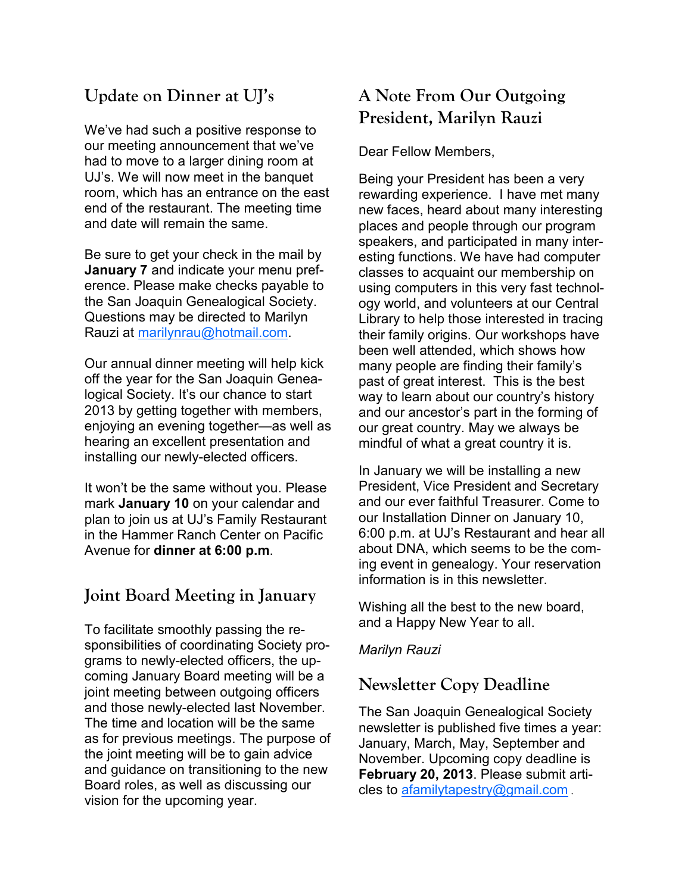# **Update on Dinner at UJ's**

We've had such a positive response to our meeting announcement that we've had to move to a larger dining room at UJ's. We will now meet in the banquet room, which has an entrance on the east end of the restaurant. The meeting time and date will remain the same.

Be sure to get your check in the mail by **January 7** and indicate your menu preference. Please make checks payable to the San Joaquin Genealogical Society. Questions may be directed to Marilyn Rauzi at marilynrau@hotmail.com.

Our annual dinner meeting will help kick off the year for the San Joaquin Genealogical Society. It's our chance to start 2013 by getting together with members, enjoying an evening together—as well as hearing an excellent presentation and installing our newly-elected officers.

It won't be the same without you. Please mark **January 10** on your calendar and plan to join us at UJ's Family Restaurant in the Hammer Ranch Center on Pacific Avenue for **dinner at 6:00 p.m**.

### **Joint Board Meeting in January**

To facilitate smoothly passing the responsibilities of coordinating Society programs to newly-elected officers, the upcoming January Board meeting will be a joint meeting between outgoing officers and those newly-elected last November. The time and location will be the same as for previous meetings. The purpose of the joint meeting will be to gain advice and guidance on transitioning to the new Board roles, as well as discussing our vision for the upcoming year.

# **A Note From Our Outgoing President, Marilyn Rauzi**

Dear Fellow Members,

Being your President has been a very rewarding experience. I have met many new faces, heard about many interesting places and people through our program speakers, and participated in many interesting functions. We have had computer classes to acquaint our membership on using computers in this very fast technology world, and volunteers at our Central Library to help those interested in tracing their family origins. Our workshops have been well attended, which shows how many people are finding their family's past of great interest. This is the best way to learn about our country's history and our ancestor's part in the forming of our great country. May we always be mindful of what a great country it is.

In January we will be installing a new President, Vice President and Secretary and our ever faithful Treasurer. Come to our Installation Dinner on January 10, 6:00 p.m. at UJ's Restaurant and hear all about DNA, which seems to be the coming event in genealogy. Your reservation information is in this newsletter.

Wishing all the best to the new board, and a Happy New Year to all.

#### *Marilyn Rauzi*

### **Newsletter Copy Deadline**

The San Joaquin Genealogical Society newsletter is published five times a year: January, March, May, September and November. Upcoming copy deadline is **February 20, 2013**. Please submit articles to afamilytapestry@gmail.com .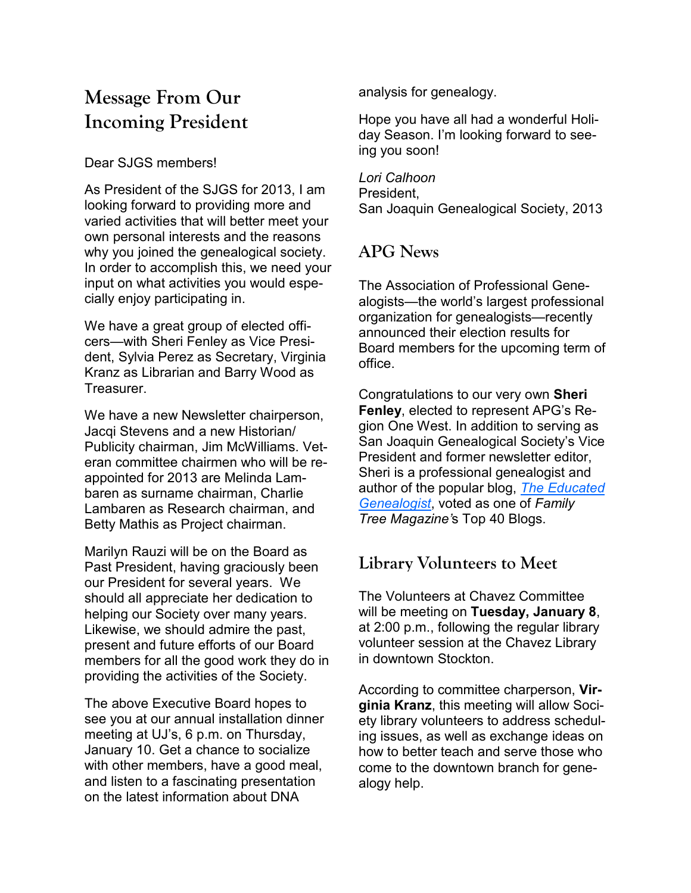# **Message From Our Incoming President**

#### Dear SJGS members!

As President of the SJGS for 2013, I am looking forward to providing more and varied activities that will better meet your own personal interests and the reasons why you joined the genealogical society. In order to accomplish this, we need your input on what activities you would especially enjoy participating in.

We have a great group of elected officers—with Sheri Fenley as Vice President, Sylvia Perez as Secretary, Virginia Kranz as Librarian and Barry Wood as Treasurer.

We have a new Newsletter chairperson, Jacqi Stevens and a new Historian/ Publicity chairman, Jim McWilliams. Veteran committee chairmen who will be reappointed for 2013 are Melinda Lambaren as surname chairman, Charlie Lambaren as Research chairman, and Betty Mathis as Project chairman.

Marilyn Rauzi will be on the Board as Past President, having graciously been our President for several years. We should all appreciate her dedication to helping our Society over many years. Likewise, we should admire the past, present and future efforts of our Board members for all the good work they do in providing the activities of the Society.

The above Executive Board hopes to see you at our annual installation dinner meeting at UJ's, 6 p.m. on Thursday, January 10. Get a chance to socialize with other members, have a good meal, and listen to a fascinating presentation on the latest information about DNA

analysis for genealogy.

Hope you have all had a wonderful Holiday Season. I'm looking forward to seeing you soon!

*Lori Calhoon*  President, San Joaquin Genealogical Society, 2013

## **APG News**

The Association of Professional Genealogists—the world's largest professional organization for genealogists—recently announced their election results for Board members for the upcoming term of office.

Congratulations to our very own **Sheri Fenley**, elected to represent APG's Region One West. In addition to serving as San Joaquin Genealogical Society's Vice President and former newsletter editor, Sheri is a professional genealogist and author of the popular blog, *The Educated Genealogist*, voted as one of *Family Tree Magazine'*s Top 40 Blogs.

## **Library Volunteers to Meet**

The Volunteers at Chavez Committee will be meeting on **Tuesday, January 8**, at 2:00 p.m., following the regular library volunteer session at the Chavez Library in downtown Stockton.

According to committee charperson, **Virginia Kranz**, this meeting will allow Society library volunteers to address scheduling issues, as well as exchange ideas on how to better teach and serve those who come to the downtown branch for genealogy help.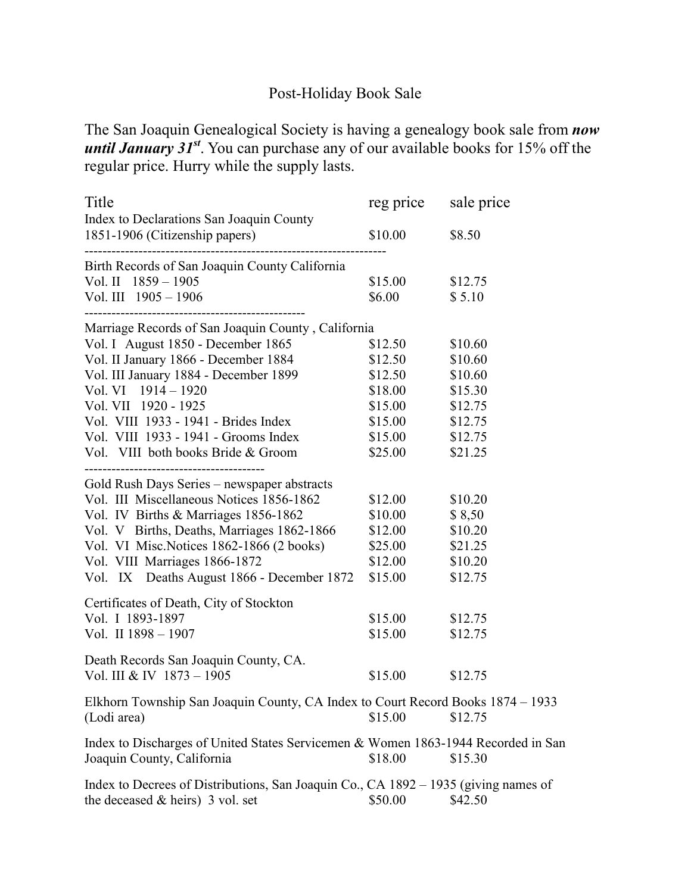### Post-Holiday Book Sale

The San Joaquin Genealogical Society is having a genealogy book sale from *now until January 31<sup>st</sup>*. You can purchase any of our available books for 15% off the regular price. Hurry while the supply lasts.

| Title                                                                                                                     | reg price | sale price |
|---------------------------------------------------------------------------------------------------------------------------|-----------|------------|
| Index to Declarations San Joaquin County<br>1851-1906 (Citizenship papers)                                                | \$10.00   | \$8.50     |
| Birth Records of San Joaquin County California                                                                            |           |            |
| Vol. II $1859 - 1905$                                                                                                     | \$15.00   | \$12.75    |
| Vol. III 1905 - 1906                                                                                                      | \$6.00    | \$5.10     |
| ----------------------------------<br>Marriage Records of San Joaquin County, California                                  |           |            |
| Vol. I August 1850 - December 1865                                                                                        | \$12.50   | \$10.60    |
| Vol. II January 1866 - December 1884                                                                                      | \$12.50   | \$10.60    |
| Vol. III January 1884 - December 1899                                                                                     | \$12.50   | \$10.60    |
| Vol. VI $1914 - 1920$                                                                                                     | \$18.00   | \$15.30    |
| Vol. VII 1920 - 1925                                                                                                      | \$15.00   | \$12.75    |
| Vol. VIII 1933 - 1941 - Brides Index                                                                                      | \$15.00   | \$12.75    |
| Vol. VIII 1933 - 1941 - Grooms Index                                                                                      | \$15.00   | \$12.75    |
| Vol. VIII both books Bride & Groom                                                                                        | \$25.00   | \$21.25    |
| Gold Rush Days Series - newspaper abstracts                                                                               |           |            |
| Vol. III Miscellaneous Notices 1856-1862                                                                                  | \$12.00   | \$10.20    |
| Vol. IV Births & Marriages 1856-1862                                                                                      | \$10.00   | \$8,50     |
| Vol. V Births, Deaths, Marriages 1862-1866                                                                                | \$12.00   | \$10.20    |
| Vol. VI Misc. Notices 1862-1866 (2 books)                                                                                 | \$25.00   | \$21.25    |
| Vol. VIII Marriages 1866-1872                                                                                             | \$12.00   | \$10.20    |
| Vol. IX Deaths August 1866 - December 1872                                                                                | \$15.00   | \$12.75    |
| Certificates of Death, City of Stockton                                                                                   |           |            |
| Vol. I 1893-1897                                                                                                          | \$15.00   | \$12.75    |
| Vol. II 1898 - 1907                                                                                                       | \$15.00   | \$12.75    |
| Death Records San Joaquin County, CA.                                                                                     |           |            |
| Vol. III & IV 1873 - 1905                                                                                                 | \$15.00   | \$12.75    |
| Elkhorn Township San Joaquin County, CA Index to Court Record Books 1874 - 1933                                           |           |            |
| (Lodi area)                                                                                                               | \$15.00   | \$12.75    |
| Index to Discharges of United States Servicemen & Women 1863-1944 Recorded in San<br>Joaquin County, California           | \$18.00   | \$15.30    |
| Index to Decrees of Distributions, San Joaquin Co., CA 1892 – 1935 (giving names of<br>the deceased $&$ heirs) 3 vol. set | \$50.00   | \$42.50    |
|                                                                                                                           |           |            |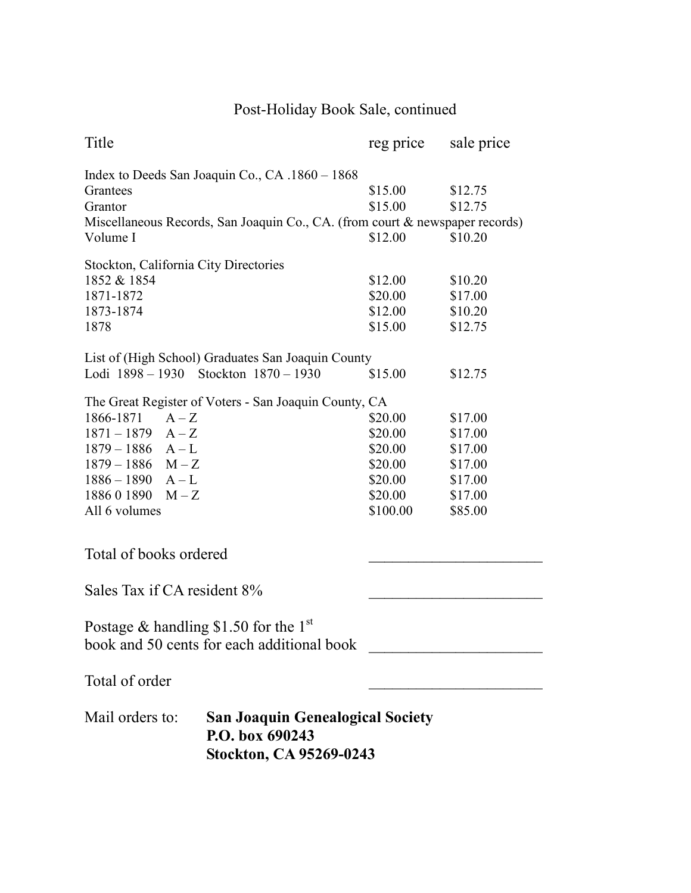# Post-Holiday Book Sale, continued

| Title                                   |                                                                                                                                 | reg price          | sale price         |
|-----------------------------------------|---------------------------------------------------------------------------------------------------------------------------------|--------------------|--------------------|
| Grantees<br>Grantor                     | Index to Deeds San Joaquin Co., CA .1860 - 1868<br>Miscellaneous Records, San Joaquin Co., CA. (from court & newspaper records) | \$15.00<br>\$15.00 | \$12.75<br>\$12.75 |
| Volume I                                |                                                                                                                                 | \$12.00            | \$10.20            |
| Stockton, California City Directories   |                                                                                                                                 |                    |                    |
| 1852 & 1854                             |                                                                                                                                 | \$12.00            | \$10.20            |
| 1871-1872                               |                                                                                                                                 | \$20.00            | \$17.00            |
| 1873-1874                               |                                                                                                                                 | \$12.00            | \$10.20            |
| 1878                                    |                                                                                                                                 | \$15.00            | \$12.75            |
|                                         | List of (High School) Graduates San Joaquin County                                                                              |                    |                    |
| Lodi 1898 – 1930 Stockton 1870 – 1930   |                                                                                                                                 | \$15.00            | \$12.75            |
|                                         | The Great Register of Voters - San Joaquin County, CA                                                                           |                    |                    |
| 1866-1871<br>$A-Z$                      |                                                                                                                                 | \$20.00            | \$17.00            |
| $1871 - 1879$ $A - Z$                   |                                                                                                                                 | \$20.00            | \$17.00            |
| $1879 - 1886$ A - L                     |                                                                                                                                 | \$20.00            | \$17.00            |
| $1879 - 1886$ M - Z                     |                                                                                                                                 | \$20.00            | \$17.00            |
| $1886 - 1890$ A - L                     |                                                                                                                                 | \$20.00            | \$17.00            |
| $188601890$ M - Z                       |                                                                                                                                 | \$20.00            | \$17.00            |
| All 6 volumes                           |                                                                                                                                 | \$100.00           | \$85.00            |
| Total of books ordered                  |                                                                                                                                 |                    |                    |
| Sales Tax if CA resident 8%             |                                                                                                                                 |                    |                    |
| Postage & handling \$1.50 for the $1st$ | book and 50 cents for each additional book                                                                                      |                    |                    |
| Total of order                          |                                                                                                                                 |                    |                    |
| Mail orders to:                         | <b>San Joaquin Genealogical Society</b><br>P.O. box 690243<br>Stockton, CA 95269-0243                                           |                    |                    |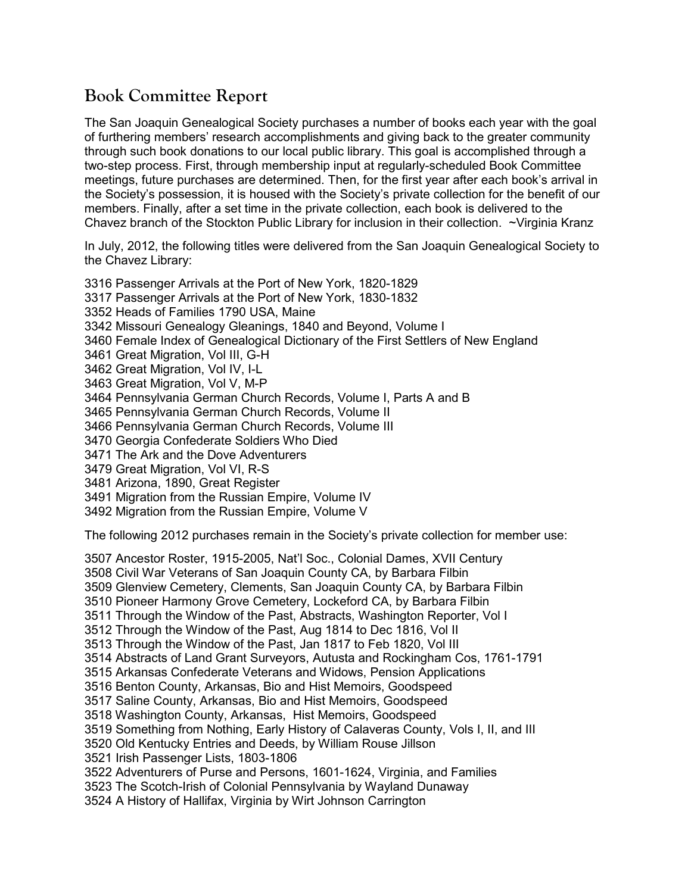### **Book Committee Report**

The San Joaquin Genealogical Society purchases a number of books each year with the goal of furthering members' research accomplishments and giving back to the greater community through such book donations to our local public library. This goal is accomplished through a two-step process. First, through membership input at regularly-scheduled Book Committee meetings, future purchases are determined. Then, for the first year after each book's arrival in the Society's possession, it is housed with the Society's private collection for the benefit of our members. Finally, after a set time in the private collection, each book is delivered to the Chavez branch of the Stockton Public Library for inclusion in their collection. ~Virginia Kranz

In July, 2012, the following titles were delivered from the San Joaquin Genealogical Society to the Chavez Library:

3316 Passenger Arrivals at the Port of New York, 1820-1829 3317 Passenger Arrivals at the Port of New York, 1830-1832 3352 Heads of Families 1790 USA, Maine 3342 Missouri Genealogy Gleanings, 1840 and Beyond, Volume I 3460 Female Index of Genealogical Dictionary of the First Settlers of New England 3461 Great Migration, Vol III, G-H 3462 Great Migration, Vol IV, I-L 3463 Great Migration, Vol V, M-P 3464 Pennsylvania German Church Records, Volume I, Parts A and B 3465 Pennsylvania German Church Records, Volume II 3466 Pennsylvania German Church Records, Volume III 3470 Georgia Confederate Soldiers Who Died 3471 The Ark and the Dove Adventurers 3479 Great Migration, Vol VI, R-S 3481 Arizona, 1890, Great Register 3491 Migration from the Russian Empire, Volume IV 3492 Migration from the Russian Empire, Volume V

The following 2012 purchases remain in the Society's private collection for member use:

3507 Ancestor Roster, 1915-2005, Nat'l Soc., Colonial Dames, XVII Century 3508 Civil War Veterans of San Joaquin County CA, by Barbara Filbin 3509 Glenview Cemetery, Clements, San Joaquin County CA, by Barbara Filbin 3510 Pioneer Harmony Grove Cemetery, Lockeford CA, by Barbara Filbin 3511 Through the Window of the Past, Abstracts, Washington Reporter, Vol I 3512 Through the Window of the Past, Aug 1814 to Dec 1816, Vol II 3513 Through the Window of the Past, Jan 1817 to Feb 1820, Vol III 3514 Abstracts of Land Grant Surveyors, Autusta and Rockingham Cos, 1761-1791 3515 Arkansas Confederate Veterans and Widows, Pension Applications 3516 Benton County, Arkansas, Bio and Hist Memoirs, Goodspeed 3517 Saline County, Arkansas, Bio and Hist Memoirs, Goodspeed 3518 Washington County, Arkansas, Hist Memoirs, Goodspeed 3519 Something from Nothing, Early History of Calaveras County, Vols I, II, and III 3520 Old Kentucky Entries and Deeds, by William Rouse Jillson 3521 Irish Passenger Lists, 1803-1806 3522 Adventurers of Purse and Persons, 1601-1624, Virginia, and Families 3523 The Scotch-Irish of Colonial Pennsylvania by Wayland Dunaway 3524 A History of Hallifax, Virginia by Wirt Johnson Carrington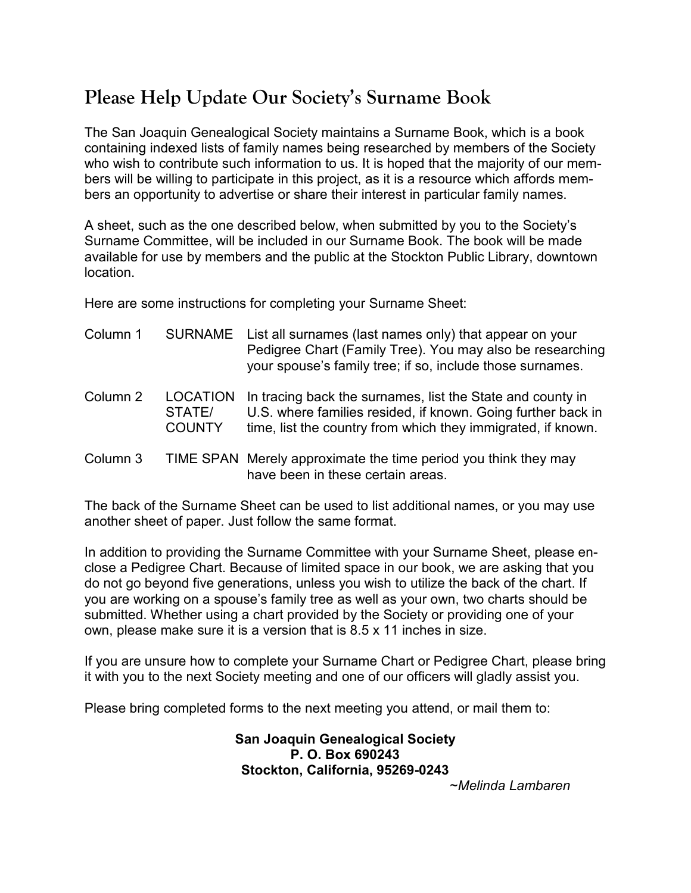# **Please Help Update Our Society's Surname Book**

The San Joaquin Genealogical Society maintains a Surname Book, which is a book containing indexed lists of family names being researched by members of the Society who wish to contribute such information to us. It is hoped that the majority of our members will be willing to participate in this project, as it is a resource which affords members an opportunity to advertise or share their interest in particular family names.

A sheet, such as the one described below, when submitted by you to the Society's Surname Committee, will be included in our Surname Book. The book will be made available for use by members and the public at the Stockton Public Library, downtown location.

Here are some instructions for completing your Surname Sheet:

| Column 1 | <b>SURNAME</b>                             | List all surnames (last names only) that appear on your<br>Pedigree Chart (Family Tree). You may also be researching<br>your spouse's family tree; if so, include those surnames.          |
|----------|--------------------------------------------|--------------------------------------------------------------------------------------------------------------------------------------------------------------------------------------------|
| Column 2 | <b>LOCATION</b><br>STATE/<br><b>COUNTY</b> | In tracing back the surnames, list the State and county in<br>U.S. where families resided, if known. Going further back in<br>time, list the country from which they immigrated, if known. |
| Column 3 |                                            | TIME SPAN Merely approximate the time period you think they may<br>have been in these certain areas.                                                                                       |

The back of the Surname Sheet can be used to list additional names, or you may use another sheet of paper. Just follow the same format.

In addition to providing the Surname Committee with your Surname Sheet, please enclose a Pedigree Chart. Because of limited space in our book, we are asking that you do not go beyond five generations, unless you wish to utilize the back of the chart. If you are working on a spouse's family tree as well as your own, two charts should be submitted. Whether using a chart provided by the Society or providing one of your own, please make sure it is a version that is 8.5 x 11 inches in size.

If you are unsure how to complete your Surname Chart or Pedigree Chart, please bring it with you to the next Society meeting and one of our officers will gladly assist you.

Please bring completed forms to the next meeting you attend, or mail them to:

**San Joaquin Genealogical Society P. O. Box 690243 Stockton, California, 95269-0243**

~*Melinda Lambaren*